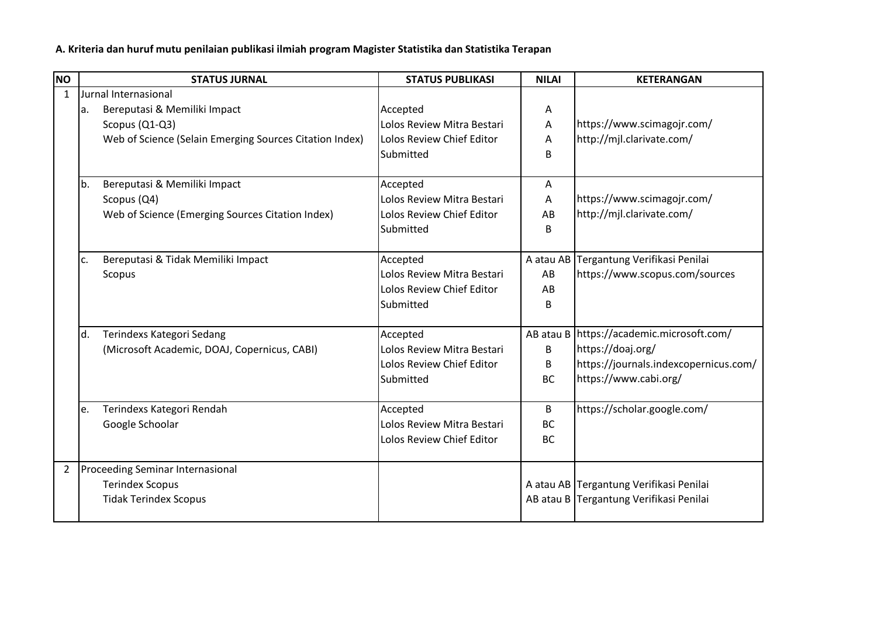**A. Kriteria dan huruf mutu penilaian publikasi ilmiah program Magister Statistika dan Statistika Terapan**

| <b>NO</b>      |     | <b>STATUS JURNAL</b>                                    | <b>STATUS PUBLIKASI</b>    | <b>NILAI</b> | <b>KETERANGAN</b>                           |
|----------------|-----|---------------------------------------------------------|----------------------------|--------------|---------------------------------------------|
| $\mathbf{1}$   |     | Jurnal Internasional                                    |                            |              |                                             |
|                | la. | Bereputasi & Memiliki Impact                            | Accepted                   | A            |                                             |
|                |     | Scopus (Q1-Q3)                                          | Lolos Review Mitra Bestari | Α            | https://www.scimagojr.com/                  |
|                |     | Web of Science (Selain Emerging Sources Citation Index) | Lolos Review Chief Editor  | Α            | http://mjl.clarivate.com/                   |
|                |     |                                                         | Submitted                  | B            |                                             |
|                |     |                                                         |                            |              |                                             |
|                | b.  | Bereputasi & Memiliki Impact                            | Accepted                   | Α            |                                             |
|                |     | Scopus (Q4)                                             | Lolos Review Mitra Bestari | A            | https://www.scimagojr.com/                  |
|                |     | Web of Science (Emerging Sources Citation Index)        | Lolos Review Chief Editor  | AB           | http://mjl.clarivate.com/                   |
|                |     |                                                         | <b>Submitted</b>           | B            |                                             |
|                | c.  | Bereputasi & Tidak Memiliki Impact                      | Accepted                   |              | A atau AB Tergantung Verifikasi Penilai     |
|                |     | Scopus                                                  | Lolos Review Mitra Bestari | AB           | https://www.scopus.com/sources              |
|                |     |                                                         | Lolos Review Chief Editor  | AB           |                                             |
|                |     |                                                         | Submitted                  | B            |                                             |
|                |     |                                                         |                            |              |                                             |
|                | d.  | Terindexs Kategori Sedang                               | Accepted                   |              | AB atau B   https://academic.microsoft.com/ |
|                |     | (Microsoft Academic, DOAJ, Copernicus, CABI)            | Lolos Review Mitra Bestari | B            | https://doaj.org/                           |
|                |     |                                                         | Lolos Review Chief Editor  | B            | https://journals.indexcopernicus.com/       |
|                |     |                                                         | Submitted                  | <b>BC</b>    | https://www.cabi.org/                       |
|                |     |                                                         |                            |              |                                             |
|                | le. | Terindexs Kategori Rendah                               | Accepted                   | B            | https://scholar.google.com/                 |
|                |     | Google Schoolar                                         | Lolos Review Mitra Bestari | <b>BC</b>    |                                             |
|                |     |                                                         | Lolos Review Chief Editor  | <b>BC</b>    |                                             |
| $\overline{2}$ |     | <b>Proceeding Seminar Internasional</b>                 |                            |              |                                             |
|                |     | <b>Terindex Scopus</b>                                  |                            |              | A atau AB Tergantung Verifikasi Penilai     |
|                |     | <b>Tidak Terindex Scopus</b>                            |                            |              | AB atau B Tergantung Verifikasi Penilai     |
|                |     |                                                         |                            |              |                                             |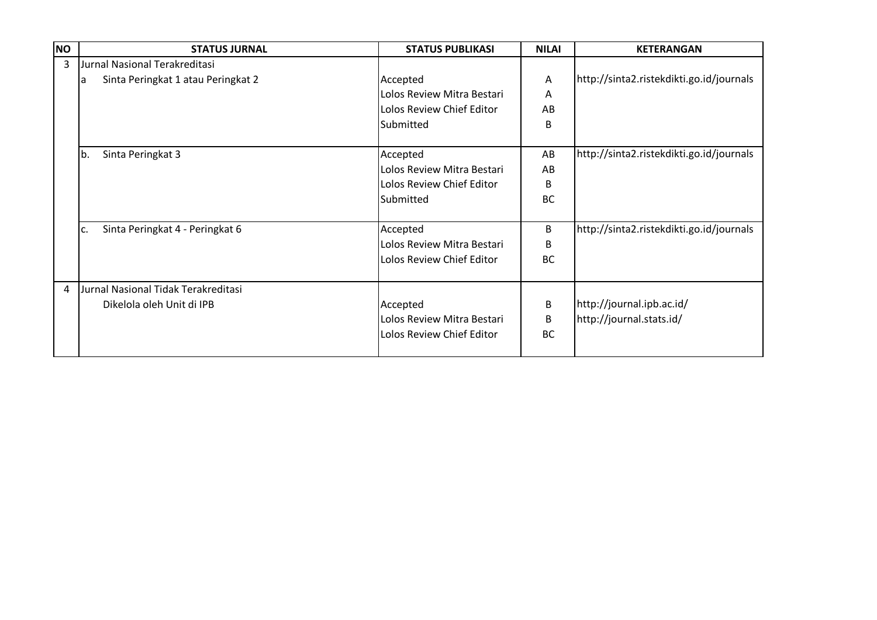| <b>NO</b>      | <b>STATUS JURNAL</b>                    | <b>STATUS PUBLIKASI</b>    | <b>NILAI</b> | <b>KETERANGAN</b>                        |
|----------------|-----------------------------------------|----------------------------|--------------|------------------------------------------|
| $\overline{3}$ | Jurnal Nasional Terakreditasi           |                            |              |                                          |
|                | Sinta Peringkat 1 atau Peringkat 2<br>a | Accepted                   | A            | http://sinta2.ristekdikti.go.id/journals |
|                |                                         | Lolos Review Mitra Bestari | Α            |                                          |
|                |                                         | Lolos Review Chief Editor  | AB           |                                          |
|                |                                         | Submitted                  | B            |                                          |
|                | Sinta Peringkat 3<br>b.                 | Accepted                   | AB           | http://sinta2.ristekdikti.go.id/journals |
|                |                                         | Lolos Review Mitra Bestari | AB           |                                          |
|                |                                         | Lolos Review Chief Editor  | B            |                                          |
|                |                                         | Submitted                  | <b>BC</b>    |                                          |
|                | Sinta Peringkat 4 - Peringkat 6<br>c.   | Accepted                   | B            | http://sinta2.ristekdikti.go.id/journals |
|                |                                         | Lolos Review Mitra Bestari | B            |                                          |
|                |                                         | Lolos Review Chief Editor  | <b>BC</b>    |                                          |
| 4              | Jurnal Nasional Tidak Terakreditasi     |                            |              |                                          |
|                | Dikelola oleh Unit di IPB               | Accepted                   | B            | http://journal.ipb.ac.id/                |
|                |                                         | Lolos Review Mitra Bestari | B            | http://journal.stats.id/                 |
|                |                                         | Lolos Review Chief Editor  | <b>BC</b>    |                                          |